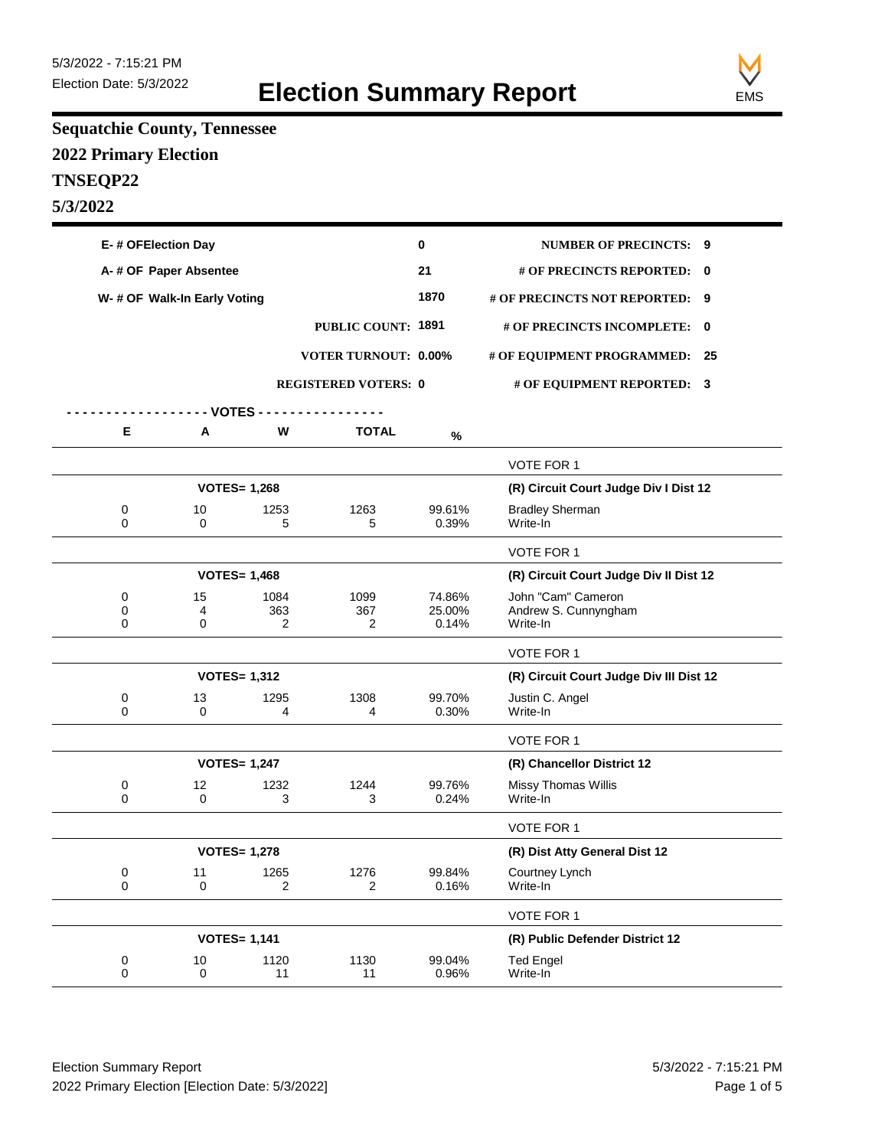

## **Sequatchie County, Tennessee 2022 Primary Election TNSEQP22 5/3/2022**

| E-# OFElection Day |                              |                     |                             | 0               | <b>NUMBER OF PRECINCTS: 9</b>           |  |
|--------------------|------------------------------|---------------------|-----------------------------|-----------------|-----------------------------------------|--|
|                    | A-# OF Paper Absentee        |                     |                             |                 | # OF PRECINCTS REPORTED: 0              |  |
|                    | W- # OF Walk-In Early Voting |                     |                             |                 | # OF PRECINCTS NOT REPORTED: 9          |  |
|                    |                              |                     | <b>PUBLIC COUNT: 1891</b>   |                 | # OF PRECINCTS INCOMPLETE: 0            |  |
|                    |                              |                     | <b>VOTER TURNOUT: 0.00%</b> |                 | # OF EQUIPMENT PROGRAMMED: 25           |  |
|                    |                              |                     | <b>REGISTERED VOTERS: 0</b> |                 |                                         |  |
|                    |                              |                     |                             |                 | # OF EQUIPMENT REPORTED: 3              |  |
| Е                  | - VOTES -<br>Α               | W                   | <b>TOTAL</b>                |                 |                                         |  |
|                    |                              |                     |                             | $\%$            |                                         |  |
|                    |                              |                     |                             |                 | VOTE FOR 1                              |  |
|                    |                              | <b>VOTES= 1,268</b> |                             |                 | (R) Circuit Court Judge Div I Dist 12   |  |
| 0<br>$\Omega$      | 10<br>0                      | 1253<br>5           | 1263<br>5                   | 99.61%<br>0.39% | <b>Bradley Sherman</b><br>Write-In      |  |
|                    |                              |                     |                             |                 | VOTE FOR 1                              |  |
|                    |                              | <b>VOTES= 1,468</b> |                             |                 | (R) Circuit Court Judge Div Il Dist 12  |  |
| 0                  | 15                           | 1084                | 1099                        | 74.86%          | John "Cam" Cameron                      |  |
| 0<br>$\Omega$      | 4<br>0                       | 363<br>2            | 367<br>$\overline{2}$       | 25.00%<br>0.14% | Andrew S. Cunnyngham<br>Write-In        |  |
|                    |                              |                     |                             |                 | VOTE FOR 1                              |  |
|                    |                              | <b>VOTES= 1,312</b> |                             |                 | (R) Circuit Court Judge Div III Dist 12 |  |
| 0<br>$\Omega$      | 13<br>$\Omega$               | 1295<br>4           | 1308<br>4                   | 99.70%<br>0.30% | Justin C. Angel<br>Write-In             |  |
|                    |                              |                     |                             |                 | VOTE FOR 1                              |  |
|                    | <b>VOTES= 1,247</b>          |                     |                             |                 | (R) Chancellor District 12              |  |
| 0<br>$\mathbf 0$   | 12<br>$\Omega$               | 1232<br>3           | 1244<br>3                   | 99.76%<br>0.24% | Missy Thomas Willis<br>Write-In         |  |
|                    |                              |                     |                             |                 | <b>VOTE FOR 1</b>                       |  |
|                    |                              | <b>VOTES= 1,278</b> |                             |                 | (R) Dist Atty General Dist 12           |  |
| 0<br>0             | 11<br>0                      | 1265<br>2           | 1276<br>$\overline{2}$      | 99.84%<br>0.16% | Courtney Lynch<br>Write-In              |  |
|                    |                              |                     |                             |                 | VOTE FOR 1                              |  |
|                    |                              | <b>VOTES= 1,141</b> |                             |                 | (R) Public Defender District 12         |  |
| 0<br>$\pmb{0}$     | 10<br>$\mathsf 0$            | 1120<br>11          | 1130<br>11                  | 99.04%<br>0.96% | <b>Ted Engel</b><br>Write-In            |  |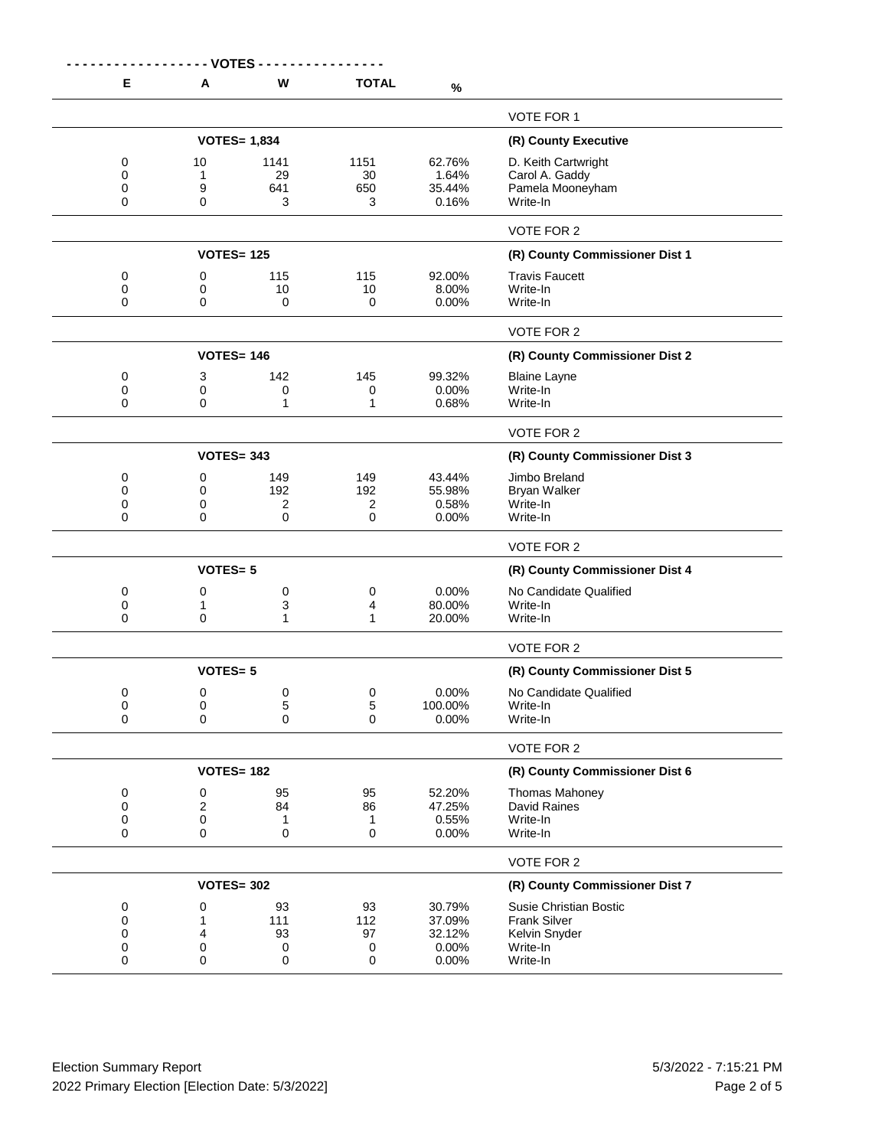|                         | - VOTES -         |                        |                                |                                    |                                                                       |
|-------------------------|-------------------|------------------------|--------------------------------|------------------------------------|-----------------------------------------------------------------------|
| Е                       | A                 | W                      | <b>TOTAL</b>                   | $\%$                               |                                                                       |
|                         |                   |                        |                                |                                    | VOTE FOR 1                                                            |
|                         |                   | <b>VOTES= 1,834</b>    | (R) County Executive           |                                    |                                                                       |
| 0<br>0<br>0<br>0        | 10<br>1<br>9<br>0 | 1141<br>29<br>641<br>3 | 1151<br>30<br>650<br>3         | 62.76%<br>1.64%<br>35.44%<br>0.16% | D. Keith Cartwright<br>Carol A. Gaddy<br>Pamela Mooneyham<br>Write-In |
|                         |                   |                        |                                |                                    | <b>VOTE FOR 2</b>                                                     |
|                         | <b>VOTES= 125</b> |                        | (R) County Commissioner Dist 1 |                                    |                                                                       |
| 0                       | 0                 | 115                    | 115                            | 92.00%                             | <b>Travis Faucett</b>                                                 |
| 0<br>0                  | 0<br>0            | 10<br>0                | 10<br>0                        | 8.00%<br>0.00%                     | Write-In<br>Write-In                                                  |
|                         |                   |                        |                                |                                    | VOTE FOR 2                                                            |
|                         | <b>VOTES= 146</b> |                        |                                |                                    | (R) County Commissioner Dist 2                                        |
| 0<br>0<br>0             | 3<br>0<br>0       | 142<br>0<br>1          | 145<br>0<br>1                  | 99.32%<br>0.00%<br>0.68%           | <b>Blaine Layne</b><br>Write-In<br>Write-In                           |
|                         |                   |                        |                                |                                    | <b>VOTE FOR 2</b>                                                     |
|                         | <b>VOTES= 343</b> |                        |                                |                                    | (R) County Commissioner Dist 3                                        |
| 0<br>0<br>0<br>$\Omega$ | 0<br>0<br>0<br>0  | 149<br>192<br>2<br>0   | 149<br>192<br>2<br>$\mathbf 0$ | 43.44%<br>55.98%<br>0.58%<br>0.00% | Jimbo Breland<br><b>Bryan Walker</b><br>Write-In<br>Write-In          |
|                         |                   |                        |                                |                                    | VOTE FOR 2                                                            |
|                         | <b>VOTES=5</b>    |                        |                                |                                    | (R) County Commissioner Dist 4                                        |
| 0                       | 0                 | 0                      | 0                              | 0.00%                              | No Candidate Qualified                                                |
| 0                       | 1                 | 3                      | 4                              | 80.00%                             | Write-In                                                              |
| 0                       | 0                 | 1                      | 1                              | 20.00%                             | Write-In                                                              |
|                         |                   |                        |                                |                                    | <b>VOTE FOR 2</b>                                                     |
|                         | <b>VOTES=5</b>    |                        |                                |                                    | (R) County Commissioner Dist 5                                        |
| 0                       | 0                 | 0                      | 0                              | 0.00%                              | No Candidate Qualified                                                |
| 0<br>0                  | 0<br>0            | 5<br>0                 | 5<br>0                         | 100.00%<br>0.00%                   | Write-In<br>Write-In                                                  |
|                         |                   |                        |                                |                                    | VOTE FOR 2                                                            |
|                         | <b>VOTES= 182</b> |                        | (R) County Commissioner Dist 6 |                                    |                                                                       |
| 0                       | 0                 | 95                     | 95                             | 52.20%                             | <b>Thomas Mahoney</b>                                                 |
| 0                       | 2                 | 84                     | 86                             | 47.25%                             | David Raines                                                          |
| 0<br>0                  | 0<br>0            | 1<br>0                 | 1<br>0                         | 0.55%<br>0.00%                     | Write-In<br>Write-In                                                  |
|                         |                   |                        |                                |                                    |                                                                       |
|                         | <b>VOTES= 302</b> |                        |                                |                                    | VOTE FOR 2<br>(R) County Commissioner Dist 7                          |
|                         |                   |                        |                                |                                    |                                                                       |
| 0<br>0                  | 0<br>1            | 93<br>111              | 93<br>112                      | 30.79%<br>37.09%                   | Susie Christian Bostic<br><b>Frank Silver</b>                         |
| 0                       | 4                 | 93                     | 97                             | 32.12%                             | Kelvin Snyder                                                         |
| 0                       | 0                 | 0                      | 0                              | 0.00%                              | Write-In                                                              |
| 0                       | 0                 | 0                      | 0                              | 0.00%                              | Write-In                                                              |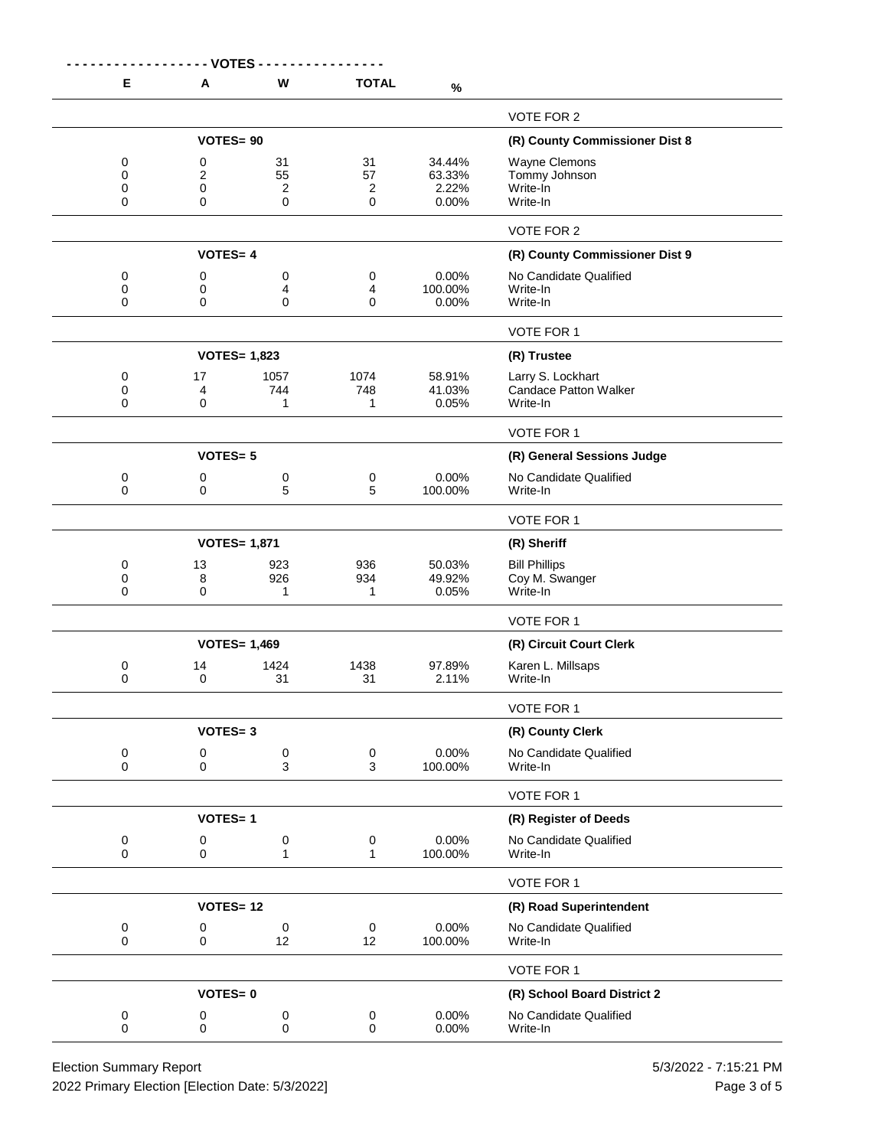|                | - - - - - - - - VOTES - |                     |                                |                  |                                                      |
|----------------|-------------------------|---------------------|--------------------------------|------------------|------------------------------------------------------|
| Е              | A                       | W                   | <b>TOTAL</b>                   | $\%$             |                                                      |
|                |                         |                     |                                |                  | VOTE FOR 2                                           |
|                | <b>VOTES=90</b>         |                     | (R) County Commissioner Dist 8 |                  |                                                      |
| 0<br>0         | 0<br>$\overline{2}$     | 31<br>55            | 31<br>57                       | 34.44%<br>63.33% | Wayne Clemons                                        |
| 0              | 0                       | 2                   | 2                              | 2.22%            | Tommy Johnson<br>Write-In                            |
| 0              | 0                       | 0                   | 0                              | 0.00%            | Write-In                                             |
|                |                         |                     |                                |                  | VOTE FOR 2                                           |
|                | <b>VOTES=4</b>          |                     |                                |                  | (R) County Commissioner Dist 9                       |
| 0<br>0         | 0                       | $\pmb{0}$           | 0<br>4                         | 0.00%<br>100.00% | No Candidate Qualified<br>Write-In                   |
| 0              | 0<br>0                  | 4<br>$\mathbf 0$    | $\mathbf 0$                    | 0.00%            | Write-In                                             |
|                |                         |                     |                                |                  | VOTE FOR 1                                           |
|                |                         | <b>VOTES= 1,823</b> |                                |                  | (R) Trustee                                          |
| 0              | 17                      | 1057                | 1074                           | 58.91%           | Larry S. Lockhart                                    |
| 0<br>0         | 4<br>$\mathbf 0$        | 744<br>1            | 748<br>1                       | 41.03%<br>0.05%  | <b>Candace Patton Walker</b><br>Write-In             |
|                |                         |                     |                                |                  |                                                      |
|                |                         |                     |                                |                  | VOTE FOR 1                                           |
|                | <b>VOTES=5</b>          |                     |                                | 0.00%            | (R) General Sessions Judge<br>No Candidate Qualified |
| 0<br>0         | 0<br>0                  | 0<br>5              | 0<br>5                         | 100.00%          | Write-In                                             |
|                |                         |                     |                                |                  | VOTE FOR 1                                           |
|                |                         | <b>VOTES= 1,871</b> |                                |                  | (R) Sheriff                                          |
| 0              | 13                      | 923                 | 936                            | 50.03%           | <b>Bill Phillips</b>                                 |
| 0<br>0         | 8<br>0                  | 926<br>1            | 934<br>1                       | 49.92%<br>0.05%  | Coy M. Swanger<br>Write-In                           |
|                |                         |                     |                                |                  | VOTE FOR 1                                           |
|                |                         | <b>VOTES= 1,469</b> |                                |                  | (R) Circuit Court Clerk                              |
| 0              | 14                      | 1424                | 1438                           | 97.89%           | Karen L. Millsaps                                    |
| 0              | 0                       | 31                  | 31                             | 2.11%            | Write-In                                             |
|                |                         |                     |                                |                  | VOTE FOR 1                                           |
|                | <b>VOTES=3</b>          |                     |                                |                  | (R) County Clerk                                     |
| $\pmb{0}$<br>0 | 0<br>0                  | $\pmb{0}$<br>3      | $\pmb{0}$<br>3                 | 0.00%<br>100.00% | No Candidate Qualified<br>Write-In                   |
|                |                         |                     |                                |                  |                                                      |
|                |                         |                     |                                |                  | VOTE FOR 1                                           |
|                | <b>VOTES=1</b>          |                     |                                |                  | (R) Register of Deeds                                |
| 0<br>0         | 0<br>0                  | $\pmb{0}$<br>1      | 0<br>1                         | 0.00%<br>100.00% | No Candidate Qualified<br>Write-In                   |
|                |                         |                     |                                |                  | VOTE FOR 1                                           |
|                | <b>VOTES=12</b>         |                     | (R) Road Superintendent        |                  |                                                      |
| 0              | 0                       | 0                   | $\,0\,$                        | 0.00%            | No Candidate Qualified                               |
| 0              | 0                       | 12                  | 12                             | 100.00%          | Write-In                                             |
|                |                         |                     |                                |                  | VOTE FOR 1                                           |
|                | <b>VOTES=0</b>          |                     | (R) School Board District 2    |                  |                                                      |
| 0<br>0         | 0<br>0                  | $\pmb{0}$<br>0      | 0<br>$\mathbf 0$               | 0.00%<br>0.00%   | No Candidate Qualified<br>Write-In                   |
|                |                         |                     |                                |                  |                                                      |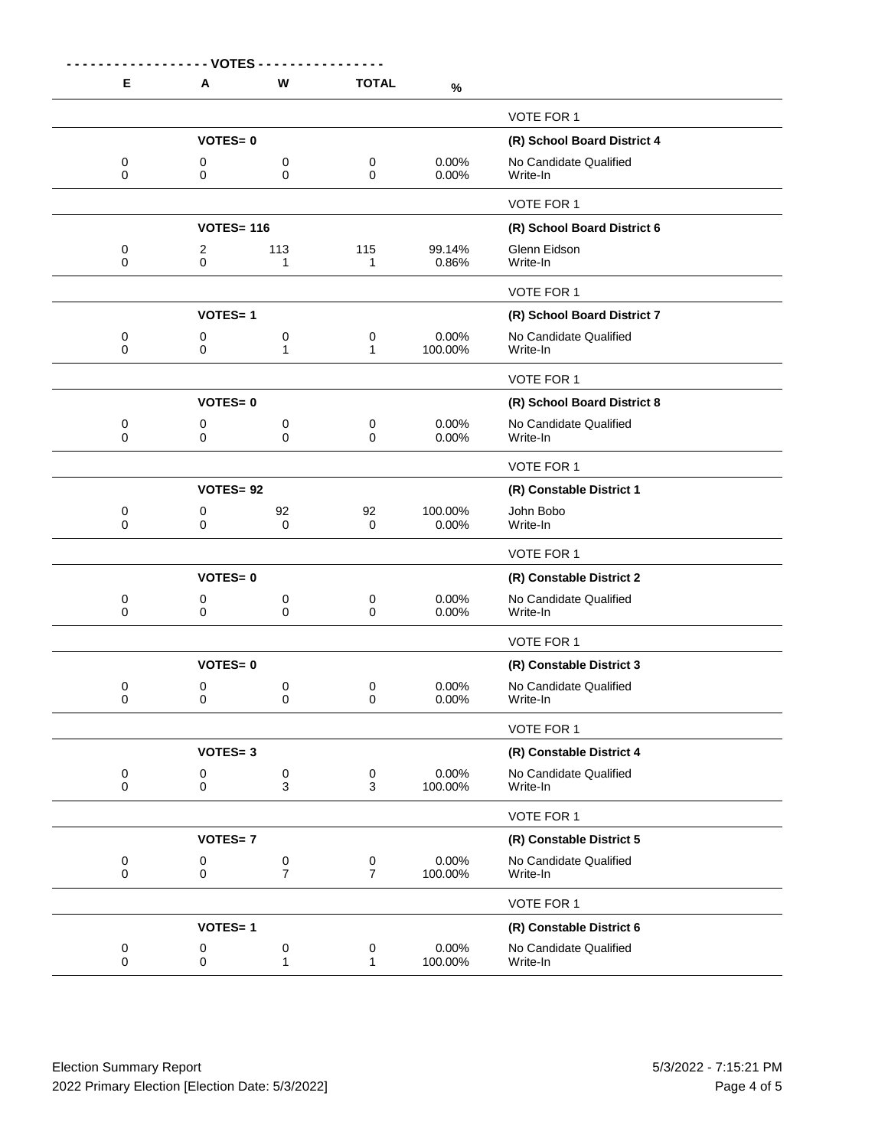| E      | Α                 | W                           | <b>TOTAL</b>              |                  |                                    |
|--------|-------------------|-----------------------------|---------------------------|------------------|------------------------------------|
|        |                   |                             |                           | $\%$             |                                    |
|        |                   |                             |                           |                  | VOTE FOR 1                         |
|        | <b>VOTES=0</b>    |                             |                           |                  | (R) School Board District 4        |
| 0<br>0 | 0<br>0            | 0<br>0                      | 0<br>$\mathbf 0$          | 0.00%<br>0.00%   | No Candidate Qualified<br>Write-In |
|        |                   |                             |                           |                  | VOTE FOR 1                         |
|        | <b>VOTES= 116</b> |                             |                           |                  | (R) School Board District 6        |
| 0<br>0 | 2<br>0            | 113<br>1                    | 115<br>1                  | 99.14%<br>0.86%  | Glenn Eidson<br>Write-In           |
|        |                   |                             |                           |                  | VOTE FOR 1                         |
|        | <b>VOTES=1</b>    |                             |                           |                  | (R) School Board District 7        |
| 0<br>0 | 0<br>0            | 0<br>1                      | $\pmb{0}$<br>$\mathbf{1}$ | 0.00%<br>100.00% | No Candidate Qualified<br>Write-In |
|        |                   |                             |                           |                  | <b>VOTE FOR 1</b>                  |
|        | <b>VOTES=0</b>    |                             |                           |                  | (R) School Board District 8        |
| 0<br>0 | 0<br>0            | 0<br>0                      | 0<br>0                    | 0.00%<br>0.00%   | No Candidate Qualified<br>Write-In |
|        |                   |                             |                           |                  | VOTE FOR 1                         |
|        | VOTES=92          |                             |                           |                  | (R) Constable District 1           |
| 0<br>0 | 0<br>0            | 92<br>0                     | 92<br>0                   | 100.00%<br>0.00% | John Bobo<br>Write-In              |
|        |                   |                             |                           |                  | VOTE FOR 1                         |
|        | <b>VOTES=0</b>    |                             |                           |                  | (R) Constable District 2           |
| 0<br>0 | 0<br>0            | 0<br>0                      | 0<br>0                    | 0.00%<br>0.00%   | No Candidate Qualified<br>Write-In |
|        |                   |                             |                           |                  | VOTE FOR 1                         |
|        | <b>VOTES=0</b>    |                             |                           |                  | (R) Constable District 3           |
| 0<br>0 | 0<br>0            | 0<br>0                      | 0<br>0                    | 0.00%<br>0.00%   | No Candidate Qualified<br>Write-In |
|        |                   |                             |                           |                  | VOTE FOR 1                         |
|        | <b>VOTES=3</b>    |                             |                           |                  | (R) Constable District 4           |
| 0<br>0 | 0<br>0            | $\pmb{0}$<br>3              | 0<br>3                    | 0.00%<br>100.00% | No Candidate Qualified<br>Write-In |
|        |                   |                             |                           |                  | VOTE FOR 1                         |
|        | <b>VOTES=7</b>    |                             |                           |                  | (R) Constable District 5           |
| 0<br>0 | 0<br>0            | $\pmb{0}$<br>$\overline{7}$ | 0<br>$\overline{7}$       | 0.00%<br>100.00% | No Candidate Qualified<br>Write-In |
|        |                   |                             |                           |                  | VOTE FOR 1                         |
|        | <b>VOTES=1</b>    |                             |                           |                  | (R) Constable District 6           |
| 0<br>0 | 0<br>0            | 0<br>1                      | 0<br>$\mathbf{1}$         | 0.00%<br>100.00% | No Candidate Qualified<br>Write-In |